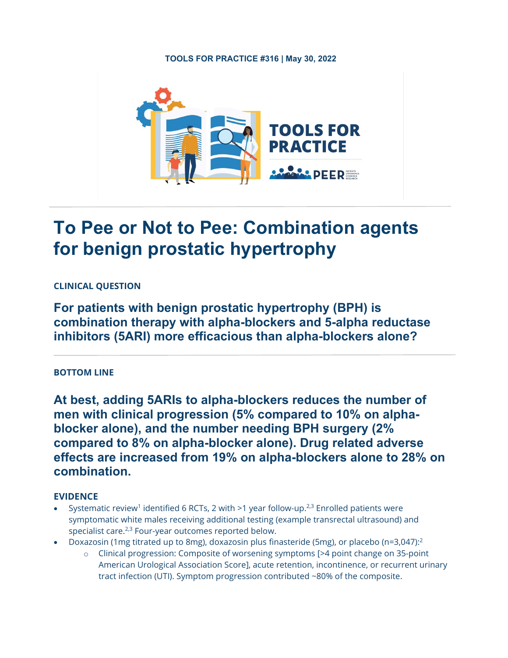# **TOOLS FOR PRACTICE #316 | May 30, 2022**



# **To Pee or Not to Pee: Combination agents for benign prostatic hypertrophy**

# **CLINICAL QUESTION**

**For patients with benign prostatic hypertrophy (BPH) is combination therapy with alpha-blockers and 5-alpha reductase inhibitors (5ARI) more efficacious than alpha-blockers alone?**

## **BOTTOM LINE**

**At best, adding 5ARIs to alpha-blockers reduces the number of men with clinical progression (5% compared to 10% on alphablocker alone), and the number needing BPH surgery (2% compared to 8% on alpha-blocker alone). Drug related adverse effects are increased from 19% on alpha-blockers alone to 28% on combination.** 

# **EVIDENCE**

- Systematic review<sup>1</sup> identified 6 RCTs, 2 with  $>1$  year follow-up.<sup>2,3</sup> Enrolled patients were symptomatic white males receiving additional testing (example transrectal ultrasound) and specialist care.<sup>2,3</sup> Four-year outcomes reported below.
- Doxazosin (1mg titrated up to 8mg), doxazosin plus finasteride (5mg), or placebo (n=3,047):2
	- o Clinical progression: Composite of worsening symptoms [>4 point change on 35-point American Urological Association Score], acute retention, incontinence, or recurrent urinary tract infection (UTI). Symptom progression contributed ~80% of the composite.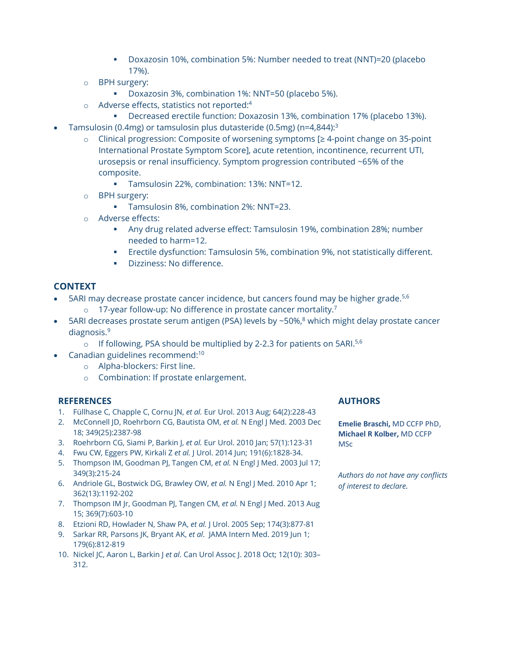- Doxazosin 10%, combination 5%: Number needed to treat (NNT)=20 (placebo 17%).
- o BPH surgery:
	- Doxazosin 3%, combination 1%: NNT=50 (placebo 5%).
	- Adverse effects, statistics not reported:<sup>4</sup>
		- Decreased erectile function: Doxazosin 13%, combination 17% (placebo 13%).
- Tamsulosin (0.4mg) or tamsulosin plus dutasteride (0.5mg) (n=4,844):3
	- o Clinical progression: Composite of worsening symptoms [≥ 4-point change on 35-point International Prostate Symptom Score], acute retention, incontinence, recurrent UTI, urosepsis or renal insufficiency. Symptom progression contributed ~65% of the composite.
		- Tamsulosin 22%, combination: 13%: NNT=12.
	- o BPH surgery:
		- Tamsulosin 8%, combination 2%: NNT=23.
	- o Adverse effects:
		- Any drug related adverse effect: Tamsulosin 19%, combination 28%; number needed to harm=12.
		- Erectile dysfunction: Tamsulosin 5%, combination 9%, not statistically different.
		- **Dizziness: No difference.**

# **CONTEXT**

- 5ARI may decrease prostate cancer incidence, but cancers found may be higher grade.<sup>5,6</sup>
	- o 17-year follow-up: No difference in prostate cancer mortality.7
- 5ARI decreases prostate serum antigen (PSA) levels by  $\sim$  50%, $\frac{8}{3}$  which might delay prostate cancer diagnosis.9
	- $\circ$  If following, PSA should be multiplied by 2-2.3 for patients on 5ARI.<sup>5,6</sup>
- Canadian guidelines recommend:<sup>10</sup>
	- o Alpha-blockers: First line.
	- o Combination: If prostate enlargement.

## **REFERENCES**

- 1. Füllhase C, Chapple C, Cornu JN, *et al.* Eur Urol. 2013 Aug; 64(2):228-43
- 2. McConnell JD, Roehrborn CG, Bautista OM, *et al.* N Engl J Med. 2003 Dec 18; 349(25):2387-98
- 3. Roehrborn CG, Siami P, Barkin J, *et al.* Eur Urol. 2010 Jan; 57(1):123-31
- 4. Fwu CW, Eggers PW, Kirkali Z *et al.* J Urol. 2014 Jun; 191(6):1828-34.
- 5. Thompson IM, Goodman PJ, Tangen CM, *et al.* N Engl J Med. 2003 Jul 17; 349(3):215-24
- 6. Andriole GL, Bostwick DG, Brawley OW, *et al.* N Engl J Med. 2010 Apr 1; 362(13):1192-202
- 7. Thompson IM Jr, Goodman PJ, Tangen CM, *et al.* N Engl J Med. 2013 Aug 15; 369(7):603-10
- 8. Etzioni RD, Howlader N, Shaw PA, *et al.* J Urol. 2005 Sep; 174(3):877-81
- 9. Sarkar RR, Parsons JK, Bryant AK, *et al*. JAMA Intern Med. 2019 Jun 1; 179(6):812-819
- 10. Nickel JC, Aaron L, Barkin J *et al*. Can Urol Assoc J. 2018 Oct; 12(10): 303– 312.

## **AUTHORS**

**Emelie Braschi,** MD CCFP PhD, **Michael R Kolber,** MD CCFP MSc

*Authors do not have any conflicts of interest to declare.*